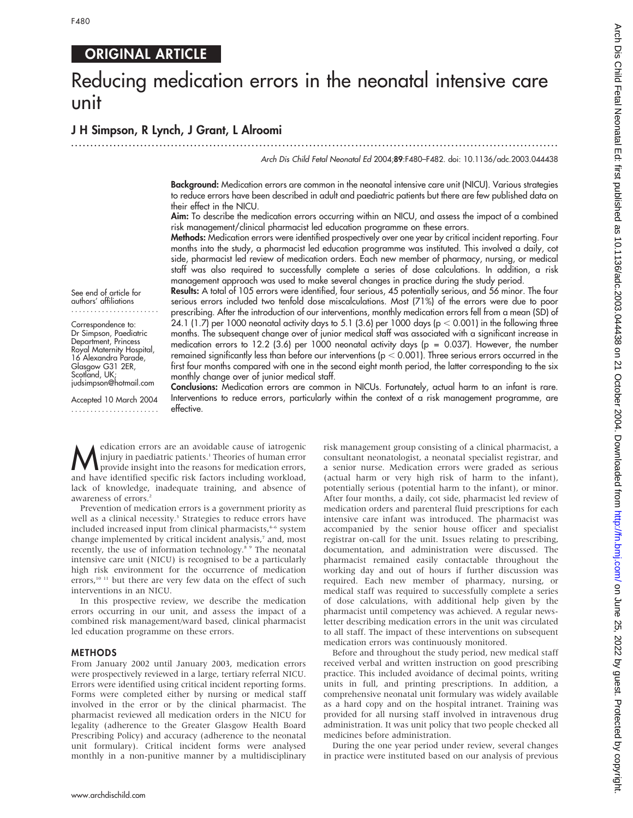# ORIGINAL ARTICLE

# Reducing medication errors in the neonatal intensive care unit

# J H Simpson, R Lynch, J Grant, L Alroomi

...............................................................................................................................

Arch Dis Child Fetal Neonatal Ed 2004;89:F480–F482. doi: 10.1136/adc.2003.044438

Background: Medication errors are common in the neonatal intensive care unit (NICU). Various strategies to reduce errors have been described in adult and paediatric patients but there are few published data on their effect in the NICU.

Aim: To describe the medication errors occurring within an NICU, and assess the impact of a combined risk management/clinical pharmacist led education programme on these errors.

Methods: Medication errors were identified prospectively over one year by critical incident reporting. Four months into the study, a pharmacist led education programme was instituted. This involved a daily, cot side, pharmacist led review of medication orders. Each new member of pharmacy, nursing, or medical staff was also required to successfully complete a series of dose calculations. In addition, a risk management approach was used to make several changes in practice during the study period.

Results: A total of 105 errors were identified, four serious, 45 potentially serious, and 56 minor. The four serious errors included two tenfold dose miscalculations. Most (71%) of the errors were due to poor prescribing. After the introduction of our interventions, monthly medication errors fell from a mean (SD) of 24.1 (1.7) per 1000 neonatal activity days to 5.1 (3.6) per 1000 days ( $p < 0.001$ ) in the following three months. The subsequent change over of junior medical staff was associated with a significant increase in medication errors to 12.2 (3.6) per 1000 neonatal activity days ( $p = 0.037$ ). However, the number remained significantly less than before our interventions ( $p < 0.001$ ). Three serious errors occurred in the first four months compared with one in the second eight month period, the latter corresponding to the six monthly change over of junior medical staff.

See end of article for authors' affiliations .......................

Correspondence to: Dr Simpson, Paediatric Department, Princess Royal Maternity Hospital, 16 Alexandra Parade, Glasgow G31 2ER, Scotland, UK; judsimpson@hotmail.com

Accepted 10 March 2004 .......................

Conclusions: Medication errors are common in NICUs. Fortunately, actual harm to an infant is rare. Interventions to reduce errors, particularly within the context of a risk management programme, are effective.

Medication errors are an avoidable cause of iatrogenic<br>provide insight into the reasons for medication errors,<br>and have identified enerifie risk factors including workload injury in paediatric patients.<sup>1</sup> Theories of human error and have identified specific risk factors including workload, lack of knowledge, inadequate training, and absence of awareness of errors.<sup>2</sup>

Prevention of medication errors is a government priority as well as a clinical necessity.<sup>3</sup> Strategies to reduce errors have included increased input from clinical pharmacists,<sup>4-6</sup> system change implemented by critical incident analysis,<sup>7</sup> and, most recently, the use of information technology.8 9 The neonatal intensive care unit (NICU) is recognised to be a particularly high risk environment for the occurrence of medication errors,<sup>10 11</sup> but there are very few data on the effect of such interventions in an NICU.

In this prospective review, we describe the medication errors occurring in our unit, and assess the impact of a combined risk management/ward based, clinical pharmacist led education programme on these errors.

### METHODS

From January 2002 until January 2003, medication errors were prospectively reviewed in a large, tertiary referral NICU. Errors were identified using critical incident reporting forms. Forms were completed either by nursing or medical staff involved in the error or by the clinical pharmacist. The pharmacist reviewed all medication orders in the NICU for legality (adherence to the Greater Glasgow Health Board Prescribing Policy) and accuracy (adherence to the neonatal unit formulary). Critical incident forms were analysed monthly in a non-punitive manner by a multidisciplinary risk management group consisting of a clinical pharmacist, a consultant neonatologist, a neonatal specialist registrar, and a senior nurse. Medication errors were graded as serious (actual harm or very high risk of harm to the infant), potentially serious (potential harm to the infant), or minor. After four months, a daily, cot side, pharmacist led review of medication orders and parenteral fluid prescriptions for each intensive care infant was introduced. The pharmacist was accompanied by the senior house officer and specialist registrar on-call for the unit. Issues relating to prescribing, documentation, and administration were discussed. The pharmacist remained easily contactable throughout the working day and out of hours if further discussion was required. Each new member of pharmacy, nursing, or medical staff was required to successfully complete a series of dose calculations, with additional help given by the pharmacist until competency was achieved. A regular newsletter describing medication errors in the unit was circulated to all staff. The impact of these interventions on subsequent medication errors was continuously monitored.

Before and throughout the study period, new medical staff received verbal and written instruction on good prescribing practice. This included avoidance of decimal points, writing units in full, and printing prescriptions. In addition, a comprehensive neonatal unit formulary was widely available as a hard copy and on the hospital intranet. Training was provided for all nursing staff involved in intravenous drug administration. It was unit policy that two people checked all medicines before administration.

During the one year period under review, several changes in practice were instituted based on our analysis of previous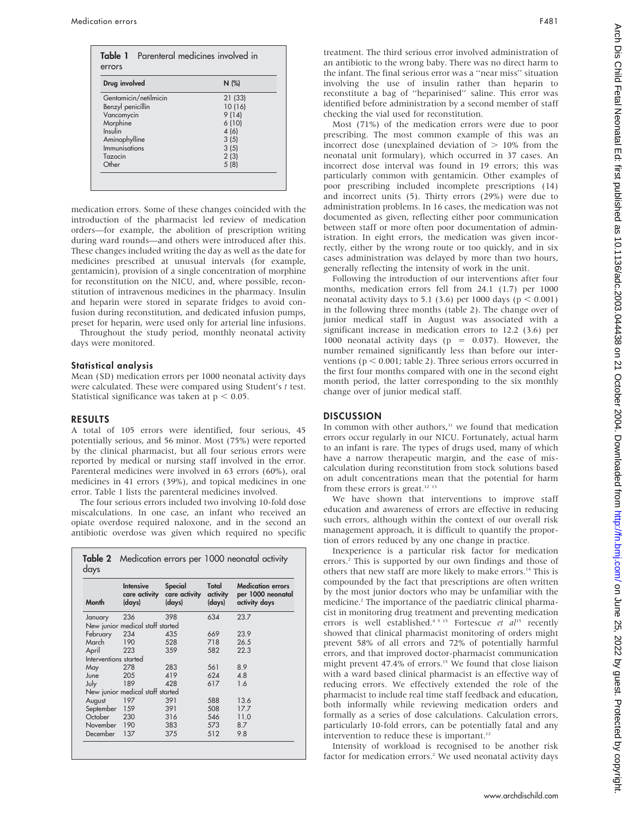| <b>Table 1</b> Parenteral medicines involved in<br>errors |         |  |  |  |
|-----------------------------------------------------------|---------|--|--|--|
| Drug involved                                             | N (%)   |  |  |  |
| Gentamicin/netilmicin                                     | 21 (33) |  |  |  |
| Benzyl penicillin                                         | 10(16)  |  |  |  |
| Vancomycin                                                | 9(14)   |  |  |  |
| Morphine                                                  | 6(10)   |  |  |  |
| Insulin                                                   | 4(6)    |  |  |  |
| Aminophylline                                             | 3(5)    |  |  |  |
| Immunisations                                             | 3(5)    |  |  |  |
| Tazocin                                                   | 2(3)    |  |  |  |
| Other                                                     | 5(8)    |  |  |  |

medication errors. Some of these changes coincided with the introduction of the pharmacist led review of medication orders—for example, the abolition of prescription writing during ward rounds—and others were introduced after this. These changes included writing the day as well as the date for medicines prescribed at unusual intervals (for example, gentamicin), provision of a single concentration of morphine for reconstitution on the NICU, and, where possible, reconstitution of intravenous medicines in the pharmacy. Insulin and heparin were stored in separate fridges to avoid confusion during reconstitution, and dedicated infusion pumps, preset for heparin, were used only for arterial line infusions.

Throughout the study period, monthly neonatal activity days were monitored.

# Statistical analysis

Mean (SD) medication errors per 1000 neonatal activity days were calculated. These were compared using Student's t test. Statistical significance was taken at  $p < 0.05$ .

# RESULTS

A total of 105 errors were identified, four serious, 45 potentially serious, and 56 minor. Most (75%) were reported by the clinical pharmacist, but all four serious errors were reported by medical or nursing staff involved in the error. Parenteral medicines were involved in 63 errors (60%), oral medicines in 41 errors (39%), and topical medicines in one error. Table 1 lists the parenteral medicines involved.

The four serious errors included two involving 10-fold dose miscalculations. In one case, an infant who received an opiate overdose required naloxone, and in the second an antibiotic overdose was given which required no specific

| Month                 | <b>Intensive</b><br>care activity<br>(days) | Special<br>care activity<br>(days) | Total<br>activity<br>(days) | <b>Medication errors</b><br>per 1000 neonatal<br>activity days |
|-----------------------|---------------------------------------------|------------------------------------|-----------------------------|----------------------------------------------------------------|
| January               | 236                                         | 398                                | 634                         | 23.7                                                           |
|                       | New junior medical staff started            |                                    |                             |                                                                |
| February              | 234                                         | 435                                | 669                         | 23.9                                                           |
| March                 | 190                                         | 528                                | 718                         | 26.5                                                           |
| April                 | 223                                         | 359                                | 582                         | 22.3                                                           |
| Interventions started |                                             |                                    |                             |                                                                |
| May                   | 278                                         | 283                                | 561                         | 8.9                                                            |
| June                  | 205                                         | 419                                | 624                         | 4.8                                                            |
| July                  | 189                                         | 428                                | 617                         | 1.6                                                            |
|                       | New junior medical staff started            |                                    |                             |                                                                |
| August                | 197                                         | 391                                | 588                         | 13.6                                                           |
| September             | 159                                         | 391                                | 508                         | 17.7                                                           |
| October               | 230                                         | 316                                | 546                         | 11.0                                                           |
| November              | 190                                         | 383                                | 573                         | 8.7                                                            |
| December              | 137                                         | 375                                | 512                         | 9.8                                                            |

treatment. The third serious error involved administration of an antibiotic to the wrong baby. There was no direct harm to the infant. The final serious error was a ''near miss'' situation involving the use of insulin rather than heparin to reconstitute a bag of ''heparinised'' saline. This error was identified before administration by a second member of staff checking the vial used for reconstitution.

Most (71%) of the medication errors were due to poor prescribing. The most common example of this was an incorrect dose (unexplained deviation of  $> 10\%$  from the neonatal unit formulary), which occurred in 37 cases. An incorrect dose interval was found in 19 errors; this was particularly common with gentamicin. Other examples of poor prescribing included incomplete prescriptions (14) and incorrect units (5). Thirty errors (29%) were due to administration problems. In 16 cases, the medication was not documented as given, reflecting either poor communication between staff or more often poor documentation of administration. In eight errors, the medication was given incorrectly, either by the wrong route or too quickly, and in six cases administration was delayed by more than two hours, generally reflecting the intensity of work in the unit.

Following the introduction of our interventions after four months, medication errors fell from 24.1 (1.7) per 1000 neonatal activity days to 5.1 (3.6) per 1000 days ( $p < 0.001$ ) in the following three months (table 2). The change over of junior medical staff in August was associated with a significant increase in medication errors to 12.2 (3.6) per 1000 neonatal activity days ( $p = 0.037$ ). However, the number remained significantly less than before our interventions ( $p < 0.001$ ; table 2). Three serious errors occurred in the first four months compared with one in the second eight month period, the latter corresponding to the six monthly change over of junior medical staff.

### **DISCUSSION**

In common with other authors,<sup>11</sup> we found that medication errors occur regularly in our NICU. Fortunately, actual harm to an infant is rare. The types of drugs used, many of which have a narrow therapeutic margin, and the ease of miscalculation during reconstitution from stock solutions based on adult concentrations mean that the potential for harm from these errors is great.<sup>12</sup><sup>13</sup>

We have shown that interventions to improve staff education and awareness of errors are effective in reducing such errors, although within the context of our overall risk management approach, it is difficult to quantify the proportion of errors reduced by any one change in practice.

Inexperience is a particular risk factor for medication errors.2 This is supported by our own findings and those of others that new staff are more likely to make errors.14 This is compounded by the fact that prescriptions are often written by the most junior doctors who may be unfamiliar with the medicine.<sup>2</sup> The importance of the paediatric clinical pharmacist in monitoring drug treatment and preventing medication errors is well established.<sup>4 5 15</sup> Fortescue et  $al^{15}$  recently showed that clinical pharmacist monitoring of orders might prevent 58% of all errors and 72% of potentially harmful errors, and that improved doctor-pharmacist communication might prevent 47.4% of errors.<sup>15</sup> We found that close liaison with a ward based clinical pharmacist is an effective way of reducing errors. We effectively extended the role of the pharmacist to include real time staff feedback and education, both informally while reviewing medication orders and formally as a series of dose calculations. Calculation errors, particularly 10-fold errors, can be potentially fatal and any intervention to reduce these is important.<sup>12</sup>

Intensity of workload is recognised to be another risk factor for medication errors.<sup>2</sup> We used neonatal activity days